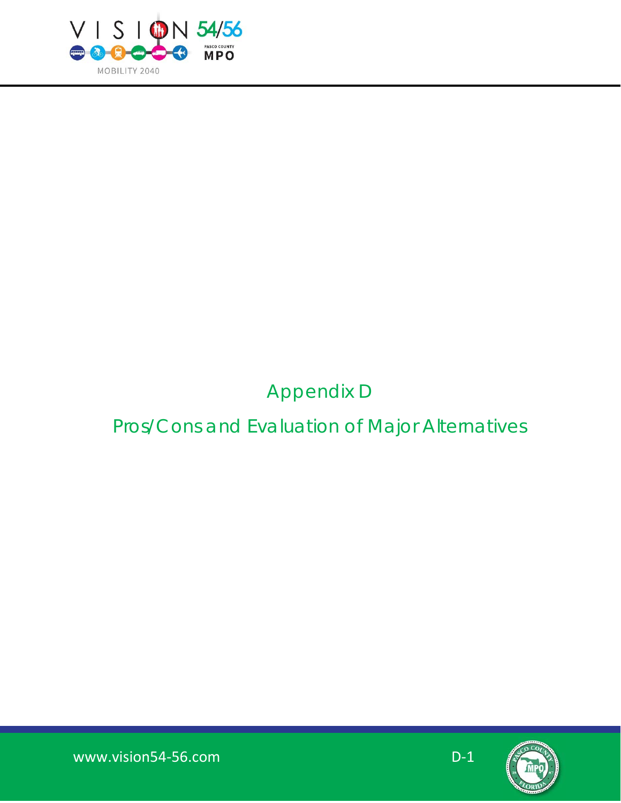

# Appendix D

# Pros/Cons and Evaluation of Major Alternatives

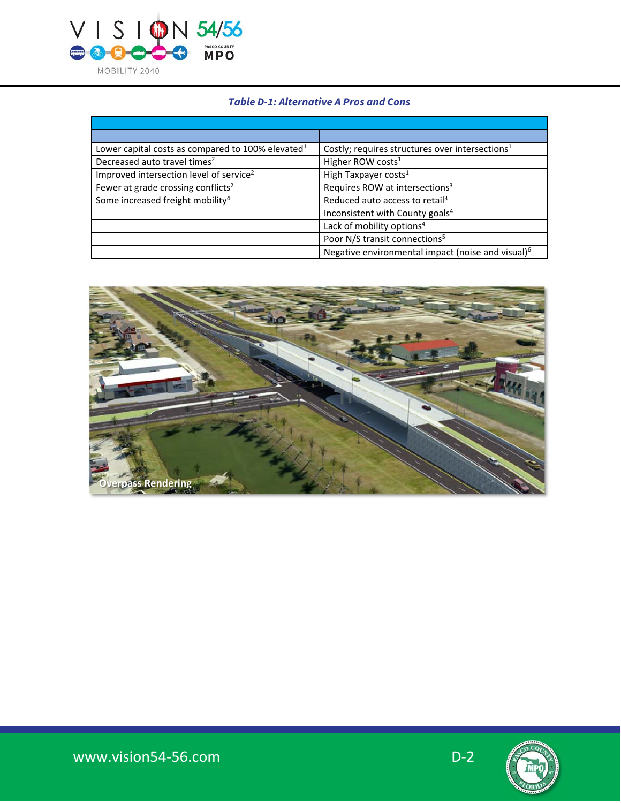

### **Table D-1: Alternative A Pros and Cons**

| Lower capital costs as compared to 100% elevated <sup>1</sup> | Costly; requires structures over intersections <sup>1</sup>   |
|---------------------------------------------------------------|---------------------------------------------------------------|
| Decreased auto travel times <sup>2</sup>                      | Higher ROW costs <sup>1</sup>                                 |
| Improved intersection level of service <sup>2</sup>           | High Taxpayer costs <sup>1</sup>                              |
| Fewer at grade crossing conflicts <sup>2</sup>                | Requires ROW at intersections <sup>3</sup>                    |
| Some increased freight mobility <sup>4</sup>                  | Reduced auto access to retail <sup>3</sup>                    |
|                                                               | Inconsistent with County goals <sup>4</sup>                   |
|                                                               | Lack of mobility options <sup>4</sup>                         |
|                                                               | Poor N/S transit connections <sup>5</sup>                     |
|                                                               | Negative environmental impact (noise and visual) <sup>6</sup> |



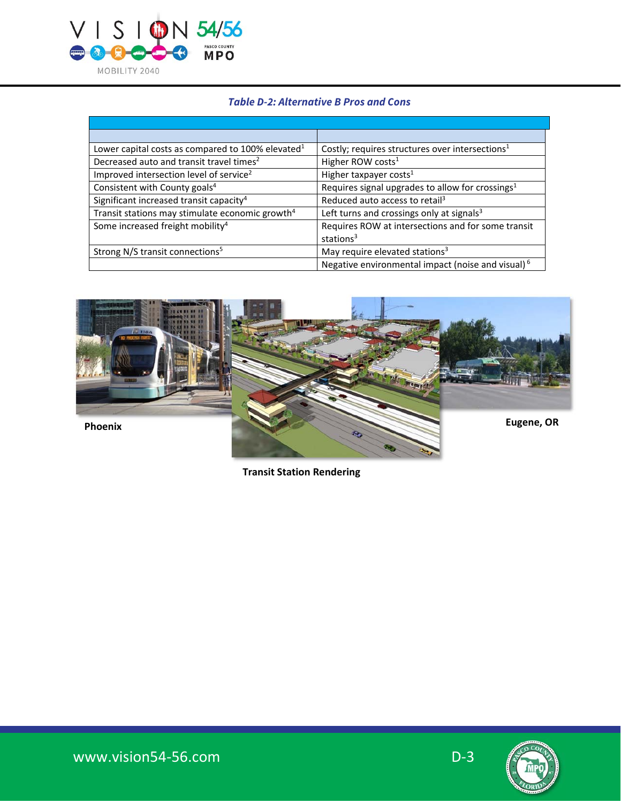

### **Table D-2: Alternative B Pros and Cons**

| Lower capital costs as compared to 100% elevated <sup>1</sup> | Costly; requires structures over intersections <sup>1</sup>   |
|---------------------------------------------------------------|---------------------------------------------------------------|
| Decreased auto and transit travel times <sup>2</sup>          | Higher ROW costs <sup>1</sup>                                 |
| Improved intersection level of service <sup>2</sup>           | Higher taxpayer costs <sup>1</sup>                            |
| Consistent with County goals <sup>4</sup>                     | Requires signal upgrades to allow for crossings <sup>1</sup>  |
| Significant increased transit capacity <sup>4</sup>           | Reduced auto access to retail <sup>3</sup>                    |
| Transit stations may stimulate economic growth <sup>4</sup>   | Left turns and crossings only at signals <sup>3</sup>         |
| Some increased freight mobility <sup>4</sup>                  | Requires ROW at intersections and for some transit            |
|                                                               | stations $3$                                                  |
| Strong N/S transit connections <sup>5</sup>                   | May require elevated stations <sup>3</sup>                    |
|                                                               | Negative environmental impact (noise and visual) <sup>6</sup> |



 **Transit Station Rendering**

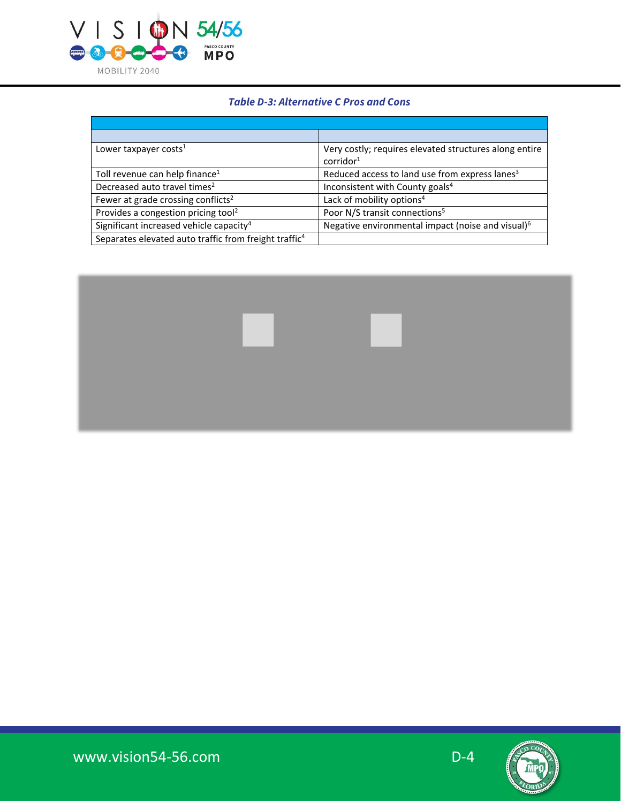

#### **Table D-3: Alternative C Pros and Cons**

| Lower taxpayer costs $1$                                          | Very costly; requires elevated structures along entire        |
|-------------------------------------------------------------------|---------------------------------------------------------------|
|                                                                   | corridor <sup>1</sup>                                         |
| Toll revenue can help finance <sup>1</sup>                        | Reduced access to land use from express lanes <sup>3</sup>    |
| Decreased auto travel times <sup>2</sup>                          | Inconsistent with County goals <sup>4</sup>                   |
| Fewer at grade crossing conflicts <sup>2</sup>                    | Lack of mobility options <sup>4</sup>                         |
| Provides a congestion pricing tool <sup>2</sup>                   | Poor N/S transit connections <sup>5</sup>                     |
| Significant increased vehicle capacity <sup>4</sup>               | Negative environmental impact (noise and visual) <sup>6</sup> |
| Separates elevated auto traffic from freight traffic <sup>4</sup> |                                                               |

- 1

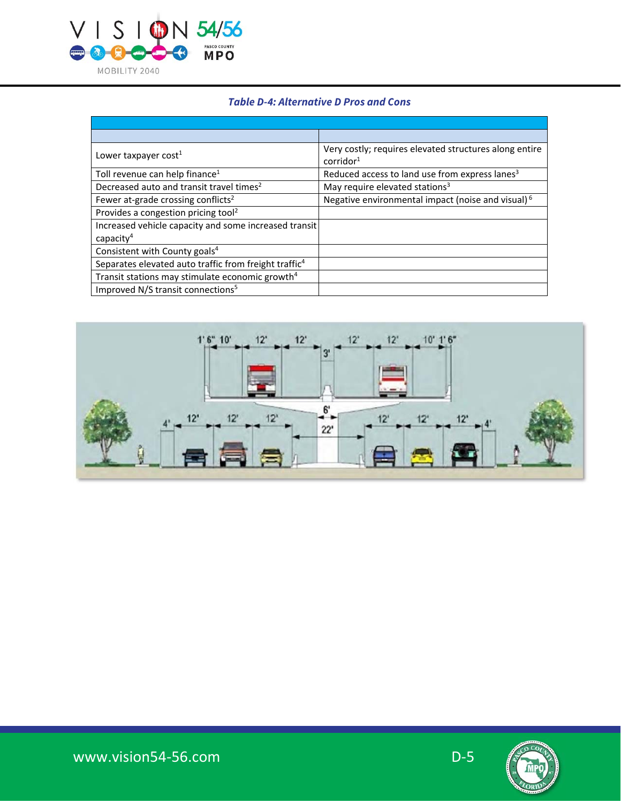

#### **Table D-4: Alternative D Pros and Cons**

| Lower taxpayer cost <sup>1</sup>                                               | Very costly; requires elevated structures along entire<br>$c$ orridor $1$ |
|--------------------------------------------------------------------------------|---------------------------------------------------------------------------|
| Toll revenue can help finance <sup>1</sup>                                     | Reduced access to land use from express lanes <sup>3</sup>                |
| Decreased auto and transit travel times <sup>2</sup>                           | May require elevated stations <sup>3</sup>                                |
| Fewer at-grade crossing conflicts <sup>2</sup>                                 | Negative environmental impact (noise and visual) <sup>6</sup>             |
| Provides a congestion pricing tool <sup>2</sup>                                |                                                                           |
| Increased vehicle capacity and some increased transit<br>capacity <sup>4</sup> |                                                                           |
| Consistent with County goals <sup>4</sup>                                      |                                                                           |
| Separates elevated auto traffic from freight traffic <sup>4</sup>              |                                                                           |
| Transit stations may stimulate economic growth <sup>4</sup>                    |                                                                           |
| Improved N/S transit connections <sup>5</sup>                                  |                                                                           |



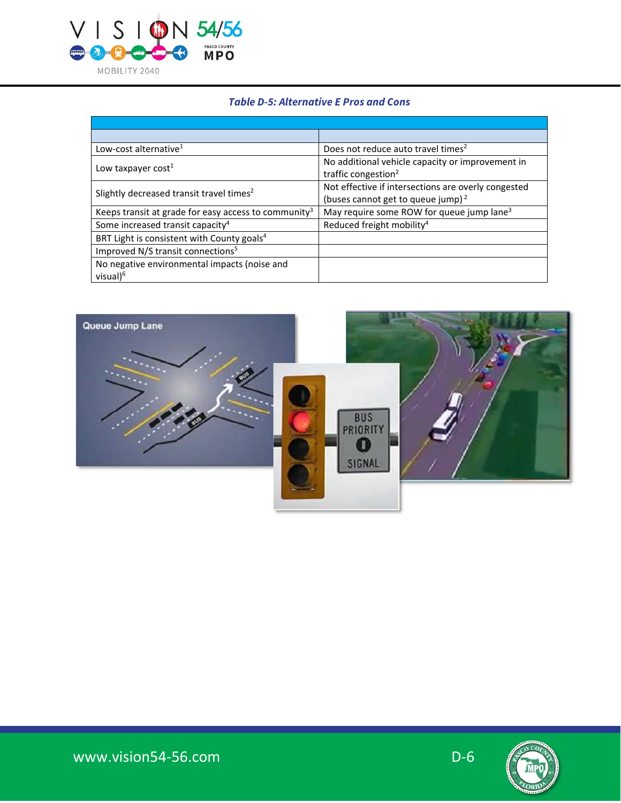

#### **Table D-5: Alternative E Pros and Cons**

| Low-cost alternative <sup>1</sup>                                    | Does not reduce auto travel times <sup>2</sup>                                                       |
|----------------------------------------------------------------------|------------------------------------------------------------------------------------------------------|
| Low taxpayer cost <sup>1</sup>                                       | No additional vehicle capacity or improvement in<br>traffic congestion <sup>2</sup>                  |
| Slightly decreased transit travel times <sup>2</sup>                 | Not effective if intersections are overly congested<br>(buses cannot get to queue jump) <sup>2</sup> |
| Keeps transit at grade for easy access to community <sup>3</sup>     | May require some ROW for queue jump lane <sup>3</sup>                                                |
| Some increased transit capacity <sup>4</sup>                         | Reduced freight mobility <sup>4</sup>                                                                |
| BRT Light is consistent with County goals <sup>4</sup>               |                                                                                                      |
| Improved N/S transit connections <sup>5</sup>                        |                                                                                                      |
| No negative environmental impacts (noise and<br>visual) <sup>6</sup> |                                                                                                      |



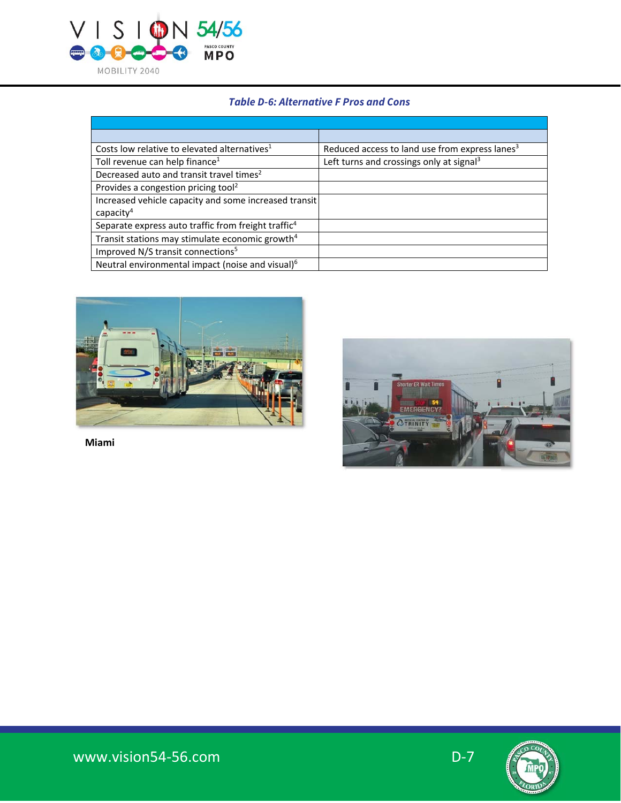

### **Table D-6: Alternative F Pros and Cons**

| Costs low relative to elevated alternatives <sup>1</sup>        | Reduced access to land use from express lanes <sup>3</sup> |
|-----------------------------------------------------------------|------------------------------------------------------------|
| Toll revenue can help finance <sup>1</sup>                      | Left turns and crossings only at signal <sup>3</sup>       |
| Decreased auto and transit travel times <sup>2</sup>            |                                                            |
| Provides a congestion pricing tool <sup>2</sup>                 |                                                            |
| Increased vehicle capacity and some increased transit           |                                                            |
| capacity <sup>4</sup>                                           |                                                            |
| Separate express auto traffic from freight traffic <sup>4</sup> |                                                            |
| Transit stations may stimulate economic growth <sup>4</sup>     |                                                            |
| Improved N/S transit connections <sup>5</sup>                   |                                                            |
| Neutral environmental impact (noise and visual) <sup>6</sup>    |                                                            |



**Miami**

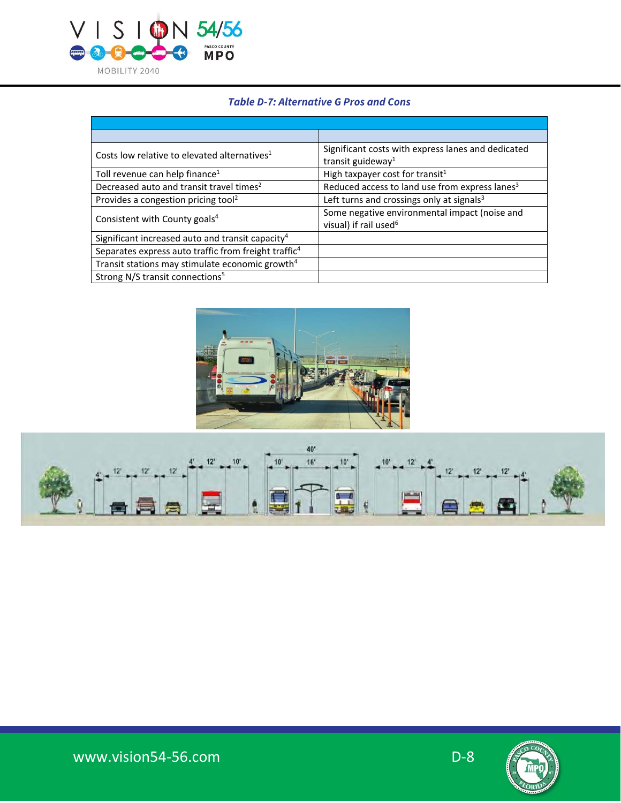

# **Table D-7: Alternative G Pros and Cons**

| Costs low relative to elevated alternatives <sup>1</sup>         | Significant costs with express lanes and dedicated<br>transit guideway <sup>1</sup> |
|------------------------------------------------------------------|-------------------------------------------------------------------------------------|
| Toll revenue can help finance <sup>1</sup>                       | High taxpayer cost for transit <sup>1</sup>                                         |
| Decreased auto and transit travel times <sup>2</sup>             | Reduced access to land use from express lanes <sup>3</sup>                          |
| Provides a congestion pricing tool <sup>2</sup>                  | Left turns and crossings only at signals <sup>3</sup>                               |
| Consistent with County goals <sup>4</sup>                        | Some negative environmental impact (noise and<br>visual) if rail used <sup>6</sup>  |
| Significant increased auto and transit capacity <sup>4</sup>     |                                                                                     |
| Separates express auto traffic from freight traffic <sup>4</sup> |                                                                                     |
| Transit stations may stimulate economic growth <sup>4</sup>      |                                                                                     |
| Strong N/S transit connections <sup>5</sup>                      |                                                                                     |





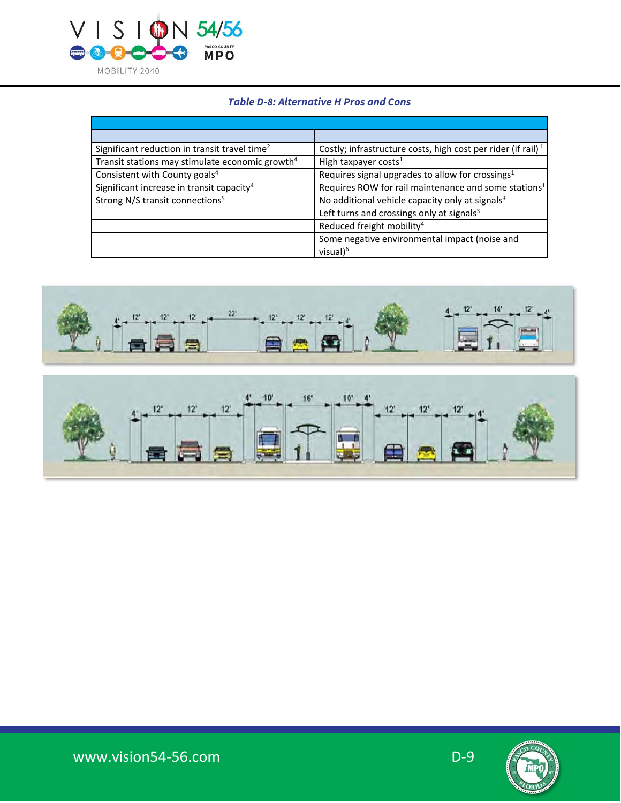

## **Table D-8: Alternative H Pros and Cons**

| Significant reduction in transit travel time <sup>2</sup>   | Costly; infrastructure costs, high cost per rider (if rail) <sup>1</sup> |
|-------------------------------------------------------------|--------------------------------------------------------------------------|
| Transit stations may stimulate economic growth <sup>4</sup> | High taxpayer costs <sup>1</sup>                                         |
| Consistent with County goals <sup>4</sup>                   | Requires signal upgrades to allow for crossings <sup>1</sup>             |
| Significant increase in transit capacity <sup>4</sup>       | Requires ROW for rail maintenance and some stations <sup>1</sup>         |
| Strong N/S transit connections <sup>5</sup>                 | No additional vehicle capacity only at signals <sup>3</sup>              |
|                                                             | Left turns and crossings only at signals <sup>3</sup>                    |
|                                                             | Reduced freight mobility <sup>4</sup>                                    |
|                                                             | Some negative environmental impact (noise and                            |
|                                                             | visual $)^6$                                                             |





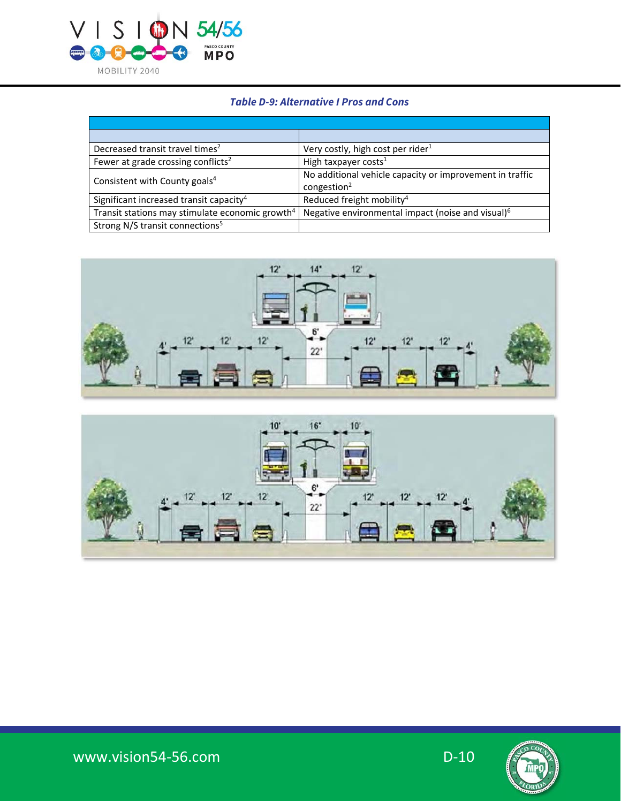

### **Table D-9: Alternative I Pros and Cons**

| Decreased transit travel times <sup>2</sup>                 | Very costly, high cost per rider <sup>1</sup>                 |
|-------------------------------------------------------------|---------------------------------------------------------------|
| Fewer at grade crossing conflicts <sup>2</sup>              | High taxpayer costs <sup>1</sup>                              |
| Consistent with County goals <sup>4</sup>                   | No additional vehicle capacity or improvement in traffic      |
|                                                             | congestion <sup>2</sup>                                       |
| Significant increased transit capacity <sup>4</sup>         | Reduced freight mobility <sup>4</sup>                         |
| Transit stations may stimulate economic growth <sup>4</sup> | Negative environmental impact (noise and visual) <sup>6</sup> |
| Strong N/S transit connections <sup>5</sup>                 |                                                               |





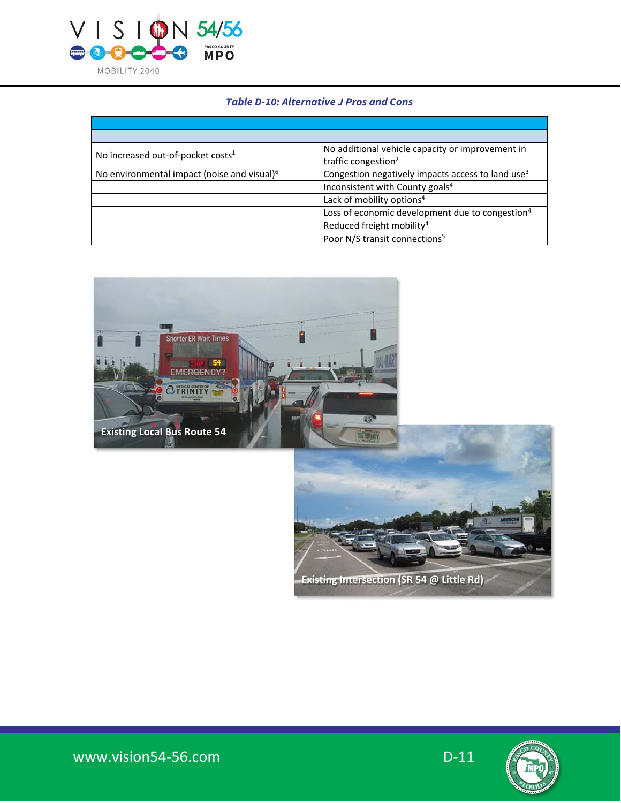

#### **Table D-10: Alternative J Pros and Cons**

| No increased out-of-pocket costs <sup>1</sup>           | No additional vehicle capacity or improvement in              |
|---------------------------------------------------------|---------------------------------------------------------------|
|                                                         | traffic congestion <sup>2</sup>                               |
| No environmental impact (noise and visual) <sup>6</sup> | Congestion negatively impacts access to land use <sup>3</sup> |
|                                                         | Inconsistent with County goals <sup>4</sup>                   |
|                                                         | Lack of mobility options <sup>4</sup>                         |
|                                                         | Loss of economic development due to congestion <sup>4</sup>   |
|                                                         | Reduced freight mobility <sup>4</sup>                         |
|                                                         | Poor N/S transit connections <sup>5</sup>                     |